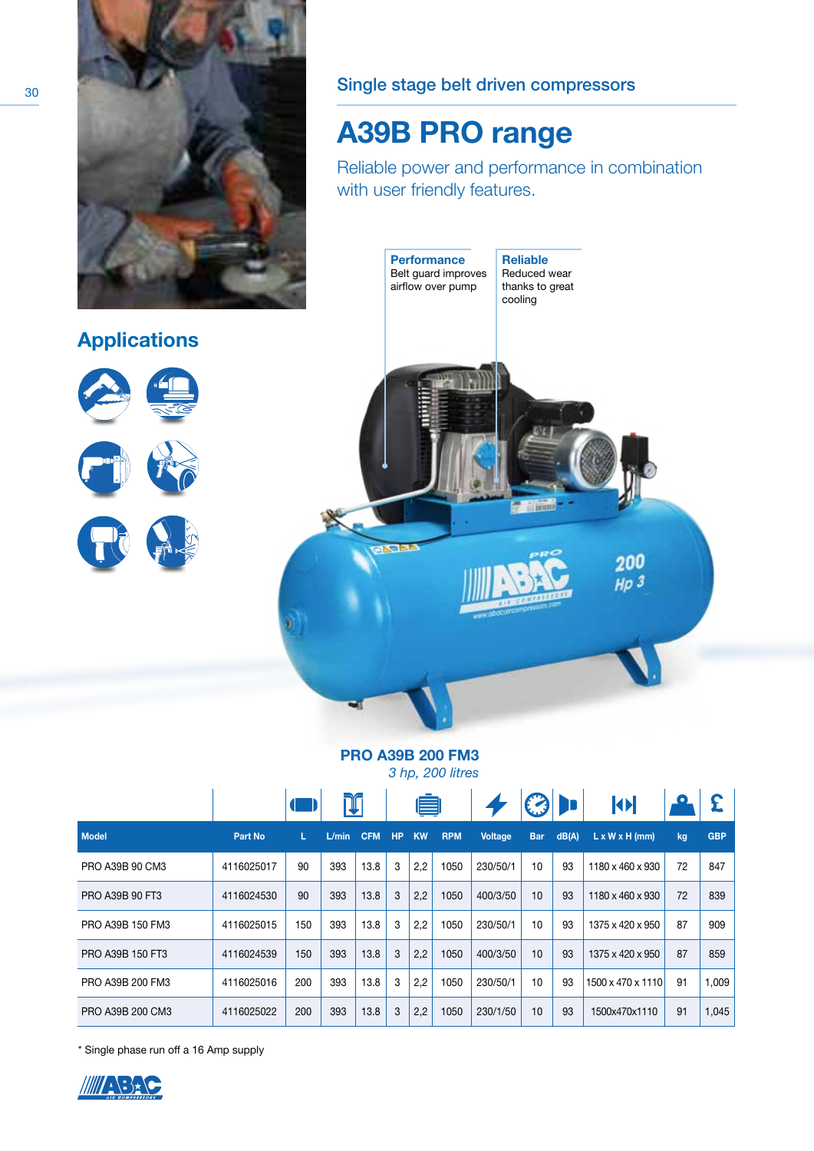

## Single stage belt driven compressors

## A39B PRO range

Reliable power and performance in combination with user friendly features.



## PRO A39B 200 FM3

*3 hp, 200 litres*

|                  |            |     | I     | E          |           |           |            |                |            | <b>KE</b> |                            |    |            |
|------------------|------------|-----|-------|------------|-----------|-----------|------------|----------------|------------|-----------|----------------------------|----|------------|
| <b>Model</b>     | Part No    | L.  | L/min | <b>CFM</b> | <b>HP</b> | <b>KW</b> | <b>RPM</b> | <b>Voltage</b> | <b>Bar</b> | dB(A)     | $L \times W \times H$ (mm) | kg | <b>GBP</b> |
| PRO A39B 90 CM3  | 4116025017 | 90  | 393   | 13.8       | 3         | 2,2       | 1050       | 230/50/1       | 10         | 93        | 1180 x 460 x 930           | 72 | 847        |
| PRO A39B 90 FT3  | 4116024530 | 90  | 393   | 13.8       | 3         | 2,2       | 1050       | 400/3/50       | 10         | 93        | 1180 x 460 x 930           | 72 | 839        |
| PRO A39B 150 FM3 | 4116025015 | 150 | 393   | 13.8       | 3         | 2,2       | 1050       | 230/50/1       | 10         | 93        | 1375 x 420 x 950           | 87 | 909        |
| PRO A39B 150 FT3 | 4116024539 | 150 | 393   | 13.8       | 3         | 2,2       | 1050       | 400/3/50       | 10         | 93        | 1375 x 420 x 950           | 87 | 859        |
| PRO A39B 200 FM3 | 4116025016 | 200 | 393   | 13.8       | 3         | 2,2       | 1050       | 230/50/1       | 10         | 93        | 1500 x 470 x 1110          | 91 | 1,009      |
| PRO A39B 200 CM3 | 4116025022 | 200 | 393   | 13.8       | 3         | 2,2       | 1050       | 230/1/50       | 10         | 93        | 1500x470x1110              | 91 | 1,045      |

\* Single phase run off a 16 Amp supply